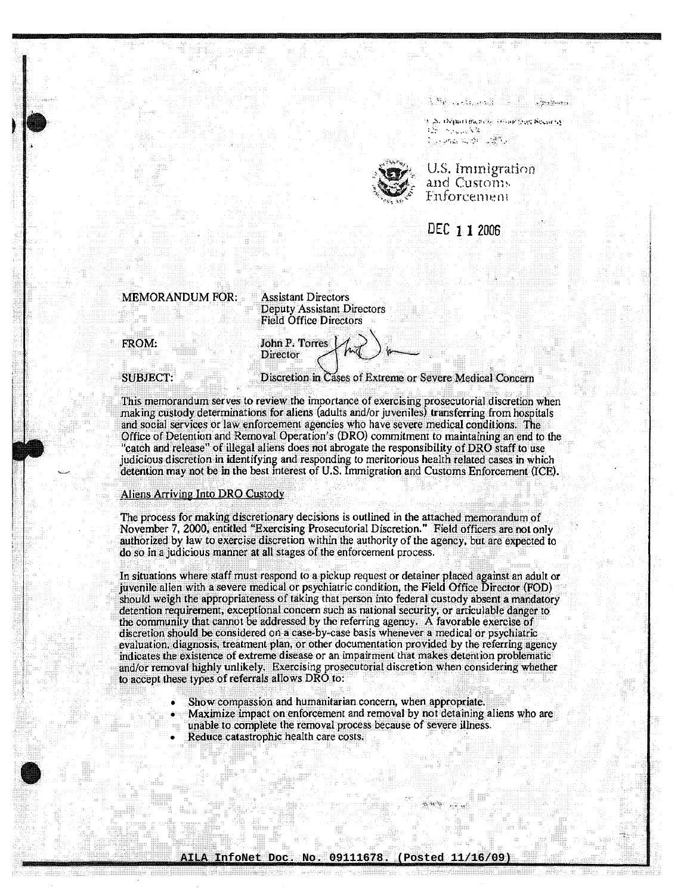s e tradición de la componenta

25. Orimet the real intensive Streams nije i na početk to particularly and the



U.S. Immigration and Customs Enforcement

DEC 1 1 2006

## **MEMORANDUM FOR:**

**Assistant Directors Deputy Assistant Directors Field Office Directors** 

John P. Torres

Director

FROM:

**SUBJECT:** 

Discretion in Cases of Extreme or Severe Medical Concern

This memorandum serves to review the importance of exercising prosecutorial discretion when making custody determinations for aliens (adults and/or juveniles) transferring from hospitals and social services or law enforcement agencies who have severe medical conditions. The Office of Detention and Removal Operation's (DRO) commitment to maintaining an end to the "catch and release" of illegal aliens does not abrogate the responsibility of DRO staff to use judicious discretion in identifying and responding to meritorious health related cases in which detention may not be in the best interest of U.S. Immigration and Customs Enforcement (ICE).

## Aliens Arriving Into DRO Custody

The process for making discretionary decisions is outlined in the attached memorandum of November 7, 2000, entitled "Exercising Prosecutorial Discretion." Field officers are not only authorized by law to exercise discretion within the authority of the agency, but are expected to do so in a judicious manner at all stages of the enforcement process.

In situations where staff must respond to a pickup request or detainer placed against an adult or juvenile alien with a severe medical or psychiatric condition, the Field Office Director (FOD) should weigh the appropriateness of taking that person into federal custody absent a mandatory detention requirement, exceptional concern such as national security, or articulable danger to the community that cannot be addressed by the referring agency. A favorable exercise of discretion should be considered on a case-by-case basis whenever a medical or psychiatric evaluation, diagnosis, treatment plan, or other documentation provided by the referring agency indicates the existence of extreme disease or an impairment that makes detention problematic and/or removal highly unlikely. Exercising prosecutorial discretion when considering whether to accept these types of referrals allows DRO to:

- Show compassion and humanitarian concern, when appropriate.
- Maximize impact on enforcement and removal by not detaining aliens who are
- unable to complete the removal process because of severe illness.
- Reduce catastrophic health care costs.